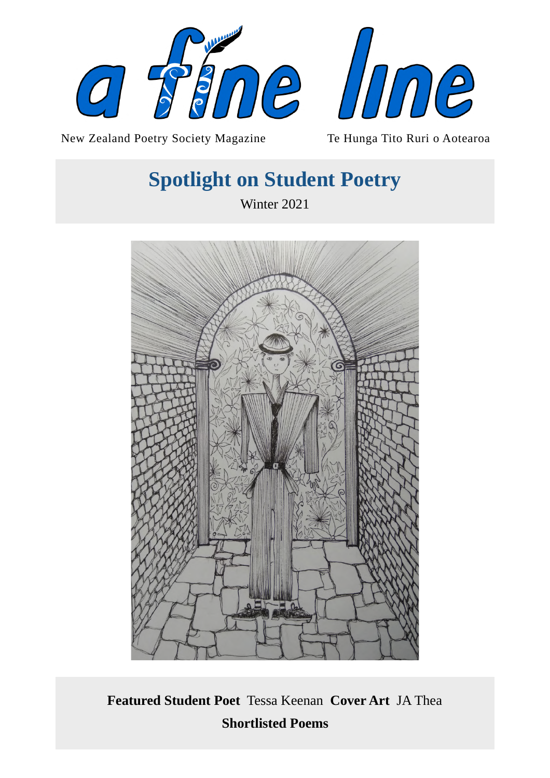



New Zealand Poetry Society Magazine Te Hunga Tito Ruri o Aotearoa

# **Spotlight on Student Poetry**

Winter 2021



**Featured Student Poet** Tessa Keenan **Cover Art** JA Thea **Shortlisted Poems**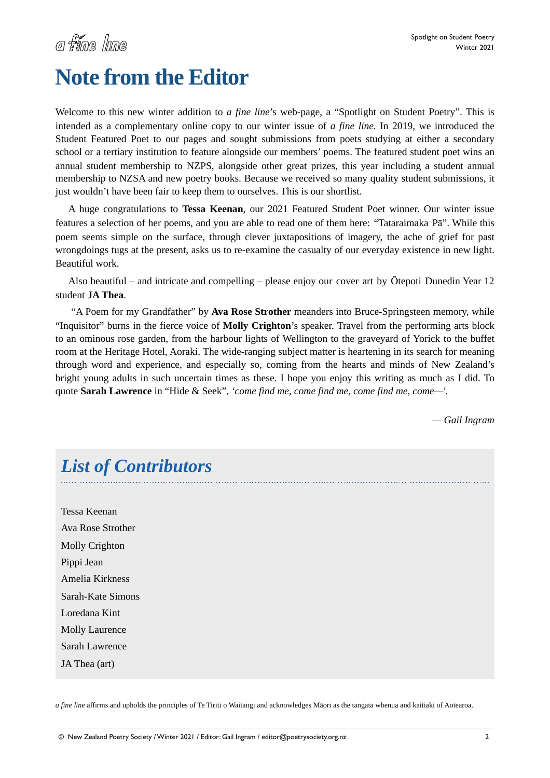# **Note from the Editor**

Welcome to this new winter addition to *a fine line*'s web-page, a "Spotlight on Student Poetry". This is intended as a complementary online copy to our winter issue of *a fine line.* In 2019, we introduced the Student Featured Poet to our pages and sought submissions from poets studying at either a secondary school or a tertiary institution to feature alongside our members' poems. The featured student poet wins an annual student membership to NZPS, alongside other great prizes, this year including a student annual membership to NZSA and new poetry books. Because we received so many quality student submissions, it just wouldn't have been fair to keep them to ourselves. This is our shortlist.

A huge congratulations to **Tessa Keenan**, our 2021 Featured Student Poet winner. Our winter issue features a selection of her poems, and you are able to read one of them here: "Tataraimaka Pā". While this poem seems simple on the surface, through clever juxtapositions of imagery, the ache of grief for past wrongdoings tugs at the present, asks us to re-examine the casualty of our everyday existence in new light. Beautiful work.

Also beautiful – and intricate and compelling – please enjoy our cover art by Ōtepoti Dunedin Year 12 student **JA Thea**.

 "A Poem for my Grandfather" by **Ava Rose Strother** meanders into Bruce-Springsteen memory, while "Inquisitor" burns in the fierce voice of **Molly Crighton**'s speaker. Travel from the performing arts block to an ominous rose garden, from the harbour lights of Wellington to the graveyard of Yorick to the buffet room at the Heritage Hotel, Aoraki. The wide-ranging subject matter is heartening in its search for meaning through word and experience, and especially so, coming from the hearts and minds of New Zealand's bright young adults in such uncertain times as these. I hope you enjoy this writing as much as I did. To quote **Sarah Lawrence** in "Hide & Seek", *'come find me, come find me, come find me, come—'.* 

*— Gail Ingram* 

# *List of Contributors*

Tessa Keenan Ava Rose Strother Molly Crighton Pippi Jean Amelia Kirkness Sarah-Kate Simons Loredana Kint Molly Laurence Sarah Lawrence JA Thea (art)

*a fine line* affirms and upholds the principles of Te Tiriti o Waitangi and acknowledges Māori as the tangata whenua and kaitiaki of Aotearoa.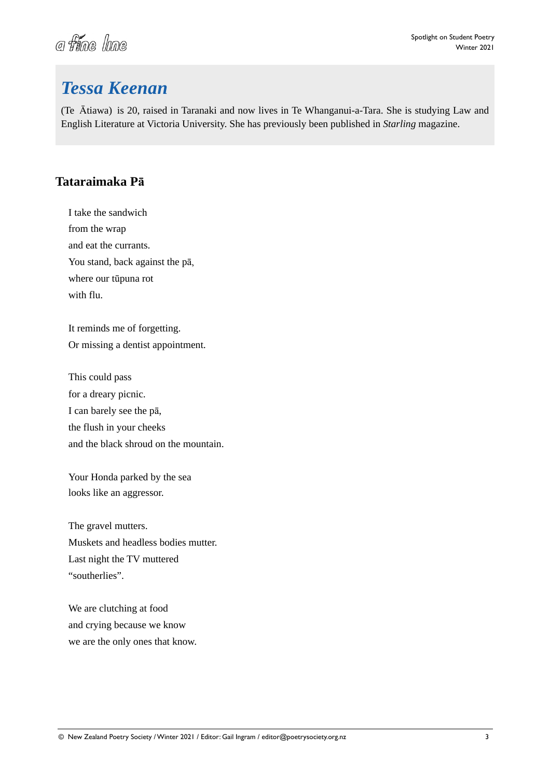# a fine line

# *Tessa Keenan*

(Te Ātiawa) is 20, raised in Taranaki and now lives in Te Whanganui-a-Tara. She is studying Law and English Literature at Victoria University. She has previously been published in *Starling* magazine.

#### **Tataraimaka Pā**

I take the sandwich from the wrap and eat the currants. You stand, back against the pā, where our tūpuna rot with flu.

It reminds me of forgetting. Or missing a dentist appointment.

This could pass for a dreary picnic. I can barely see the pā, the flush in your cheeks and the black shroud on the mountain.

Your Honda parked by the sea looks like an aggressor.

The gravel mutters. Muskets and headless bodies mutter. Last night the TV muttered "southerlies".

We are clutching at food and crying because we know we are the only ones that know.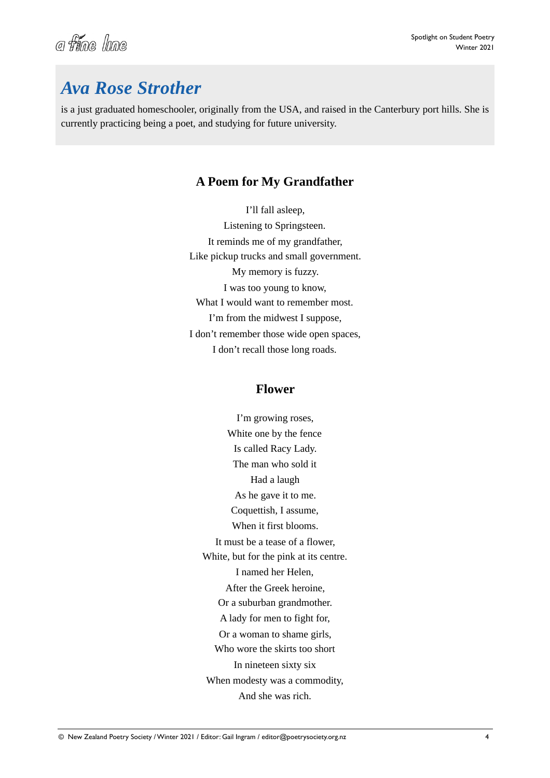![](_page_3_Picture_0.jpeg)

### *Ava Rose Strother*

is a just graduated homeschooler, originally from the USA, and raised in the Canterbury port hills. She is currently practicing being a poet, and studying for future university.

#### **A Poem for My Grandfather**

I'll fall asleep, Listening to Springsteen. It reminds me of my grandfather, Like pickup trucks and small government. My memory is fuzzy. I was too young to know, What I would want to remember most. I'm from the midwest I suppose, I don't remember those wide open spaces, I don't recall those long roads.

#### **Flower**

I'm growing roses, White one by the fence Is called Racy Lady. The man who sold it Had a laugh As he gave it to me. Coquettish, I assume, When it first blooms. It must be a tease of a flower, White, but for the pink at its centre. I named her Helen, After the Greek heroine, Or a suburban grandmother. A lady for men to fight for, Or a woman to shame girls, Who wore the skirts too short In nineteen sixty six When modesty was a commodity, And she was rich.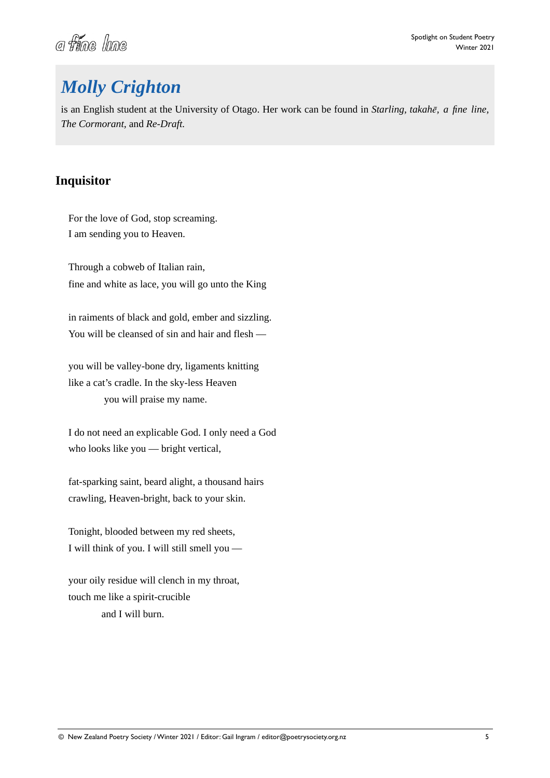![](_page_4_Picture_0.jpeg)

# *Molly Crighton*

is an English student at the University of Otago. Her work can be found in *Starling, takahē, a fine line, The Cormorant,* and *Re-Draft.*

#### **Inquisitor**

For the love of God, stop screaming. I am sending you to Heaven.

Through a cobweb of Italian rain, fine and white as lace, you will go unto the King

in raiments of black and gold, ember and sizzling. You will be cleansed of sin and hair and flesh —

you will be valley-bone dry, ligaments knitting like a cat's cradle. In the sky-less Heaven you will praise my name.

I do not need an explicable God. I only need a God who looks like you — bright vertical,

fat-sparking saint, beard alight, a thousand hairs crawling, Heaven-bright, back to your skin.

Tonight, blooded between my red sheets, I will think of you. I will still smell you —

your oily residue will clench in my throat, touch me like a spirit-crucible and I will burn.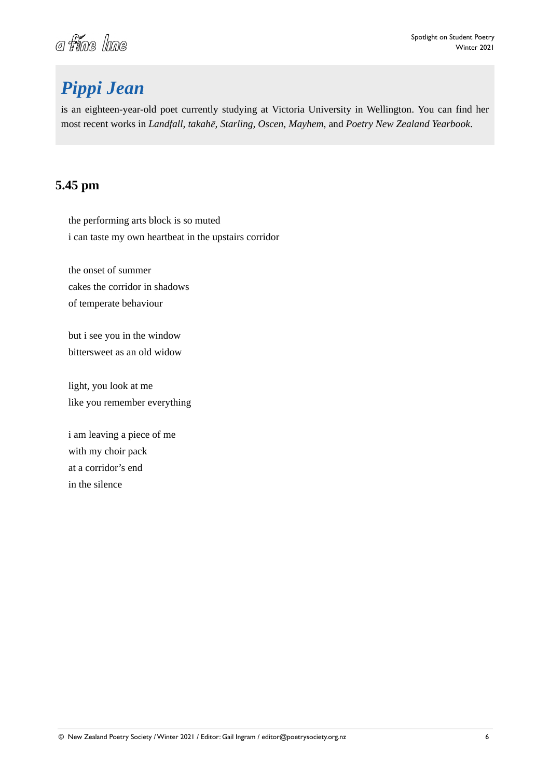![](_page_5_Picture_0.jpeg)

# *Pippi Jean*

is an eighteen-year-old poet currently studying at Victoria University in Wellington. You can find her most recent works in *Landfall, takahē, Starling, Oscen, Mayhem*, and *Poetry New Zealand Yearbook*.

#### **5.45 pm**

the performing arts block is so muted i can taste my own heartbeat in the upstairs corridor

the onset of summer cakes the corridor in shadows of temperate behaviour

but i see you in the window bittersweet as an old widow

light, you look at me like you remember everything

i am leaving a piece of me with my choir pack at a corridor's end in the silence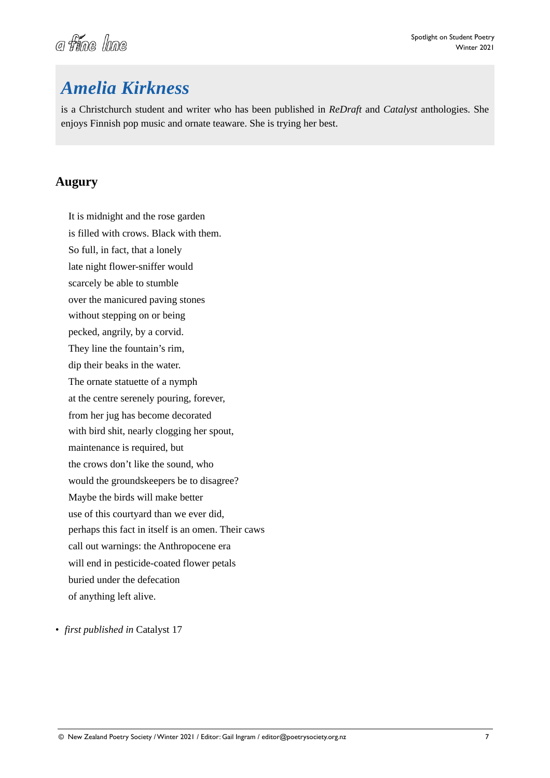![](_page_6_Picture_0.jpeg)

### *Amelia Kirkness*

is a Christchurch student and writer who has been published in *ReDraft* and *Catalyst* anthologies. She enjoys Finnish pop music and ornate teaware. She is trying her best.

#### **Augury**

It is midnight and the rose garden is filled with crows. Black with them. So full, in fact, that a lonely late night flower-sniffer would scarcely be able to stumble over the manicured paving stones without stepping on or being pecked, angrily, by a corvid. They line the fountain's rim, dip their beaks in the water. The ornate statuette of a nymph at the centre serenely pouring, forever, from her jug has become decorated with bird shit, nearly clogging her spout, maintenance is required, but the crows don't like the sound, who would the groundskeepers be to disagree? Maybe the birds will make better use of this courtyard than we ever did, perhaps this fact in itself is an omen. Their caws call out warnings: the Anthropocene era will end in pesticide-coated flower petals buried under the defecation of anything left alive.

• *first published in* Catalyst 17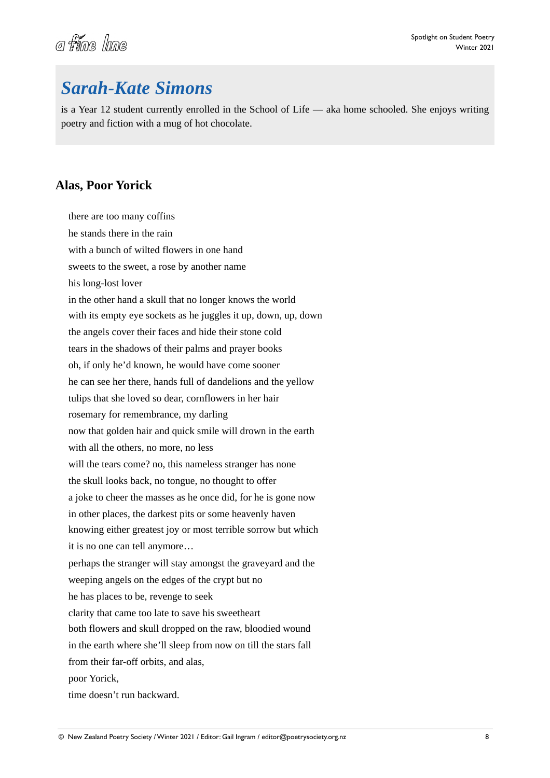![](_page_7_Picture_0.jpeg)

### *Sarah-Kate Simons*

is a Year 12 student currently enrolled in the School of Life — aka home schooled. She enjoys writing poetry and fiction with a mug of hot chocolate.

#### **Alas, Poor Yorick**

there are too many coffins he stands there in the rain with a bunch of wilted flowers in one hand sweets to the sweet, a rose by another name his long-lost lover in the other hand a skull that no longer knows the world with its empty eye sockets as he juggles it up, down, up, down the angels cover their faces and hide their stone cold tears in the shadows of their palms and prayer books oh, if only he'd known, he would have come sooner he can see her there, hands full of dandelions and the yellow tulips that she loved so dear, cornflowers in her hair rosemary for remembrance, my darling now that golden hair and quick smile will drown in the earth with all the others, no more, no less will the tears come? no, this nameless stranger has none the skull looks back, no tongue, no thought to offer a joke to cheer the masses as he once did, for he is gone now in other places, the darkest pits or some heavenly haven knowing either greatest joy or most terrible sorrow but which it is no one can tell anymore… perhaps the stranger will stay amongst the graveyard and the weeping angels on the edges of the crypt but no he has places to be, revenge to seek clarity that came too late to save his sweetheart both flowers and skull dropped on the raw, bloodied wound in the earth where she'll sleep from now on till the stars fall from their far-off orbits, and alas, poor Yorick, time doesn't run backward.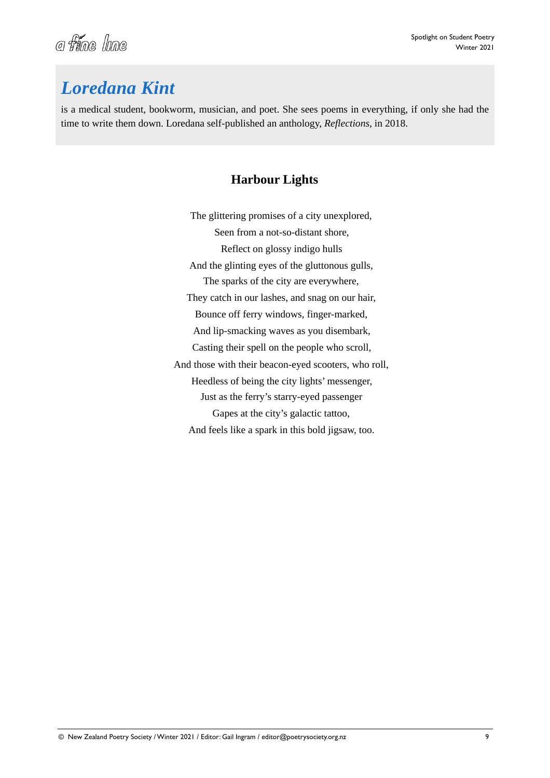![](_page_8_Picture_0.jpeg)

# *Loredana Kint*

is a medical student, bookworm, musician, and poet. She sees poems in everything, if only she had the time to write them down. Loredana self-published an anthology, *Reflections*, in 2018.

#### **Harbour Lights**

The glittering promises of a city unexplored, Seen from a not-so-distant shore, Reflect on glossy indigo hulls And the glinting eyes of the gluttonous gulls, The sparks of the city are everywhere, They catch in our lashes, and snag on our hair, Bounce off ferry windows, finger-marked, And lip-smacking waves as you disembark, Casting their spell on the people who scroll, And those with their beacon-eyed scooters, who roll, Heedless of being the city lights' messenger, Just as the ferry's starry-eyed passenger Gapes at the city's galactic tattoo, And feels like a spark in this bold jigsaw, too.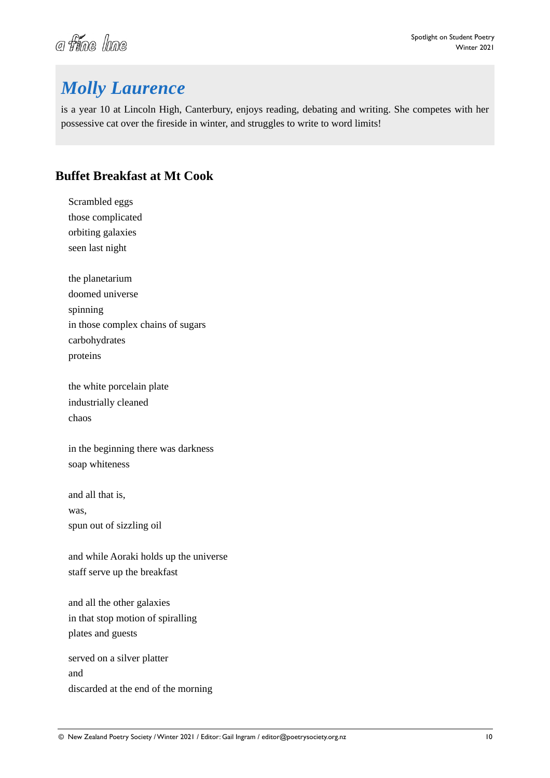![](_page_9_Picture_0.jpeg)

# *Molly Laurence*

is a year 10 at Lincoln High, Canterbury, enjoys reading, debating and writing. She competes with her possessive cat over the fireside in winter, and struggles to write to word limits!

#### **Buffet Breakfast at Mt Cook**

Scrambled eggs those complicated orbiting galaxies seen last night

the planetarium doomed universe spinning in those complex chains of sugars carbohydrates proteins

the white porcelain plate industrially cleaned chaos

in the beginning there was darkness soap whiteness

and all that is, was, spun out of sizzling oil

and while Aoraki holds up the universe staff serve up the breakfast

and all the other galaxies in that stop motion of spiralling plates and guests

served on a silver platter and discarded at the end of the morning